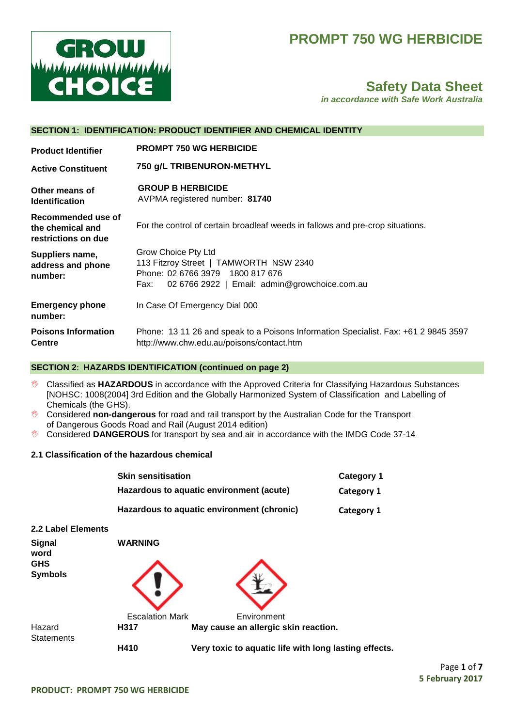# **PROMPT 750 WG HERBICIDE**



# **Safety Data Sheet**

*in accordance with Safe Work Australia*

|                                                               | SECTION 1: IDENTIFICATION: PRODUCT IDENTIFIER AND CHEMICAL IDENTITY                                                                                        |  |
|---------------------------------------------------------------|------------------------------------------------------------------------------------------------------------------------------------------------------------|--|
| <b>Product Identifier</b>                                     | <b>PROMPT 750 WG HERBICIDE</b>                                                                                                                             |  |
| <b>Active Constituent</b>                                     | 750 g/L TRIBENURON-METHYL                                                                                                                                  |  |
| Other means of<br><b>Identification</b>                       | <b>GROUP B HERBICIDE</b><br>AVPMA registered number: 81740                                                                                                 |  |
| Recommended use of<br>the chemical and<br>restrictions on due | For the control of certain broadleaf weeds in fallows and pre-crop situations.                                                                             |  |
| Suppliers name,<br>address and phone<br>number:               | Grow Choice Pty Ltd<br>113 Fitzroy Street   TAMWORTH NSW 2340<br>Phone: 02 6766 3979 1800 817 676<br>02 6766 2922   Email: admin@growchoice.com.au<br>Fax: |  |
| <b>Emergency phone</b><br>number:                             | In Case Of Emergency Dial 000                                                                                                                              |  |
| <b>Poisons Information</b><br><b>Centre</b>                   | Phone: 13 11 26 and speak to a Poisons Information Specialist. Fax: +61 2 9845 3597<br>http://www.chw.edu.au/poisons/contact.htm                           |  |

### **SECTION 2**: **HAZARDS IDENTIFICATION (continued on page 2)**

- Classified as **HAZARDOUS** in accordance with the Approved Criteria for Classifying Hazardous Substances [NOHSC: 1008(2004] 3rd Edition and the Globally Harmonized System of Classification and Labelling of Chemicals (the GHS).
- Considered **non-dangerous** for road and rail transport by the Australian Code for the Transport of Dangerous Goods Road and Rail (August 2014 edition)
- **Considered DANGEROUS** for transport by sea and air in accordance with the IMDG Code 37-14

## **2.1 Classification of the hazardous chemical**

|                              | <b>Skin sensitisation</b>                |                                                       | <b>Category 1</b> |
|------------------------------|------------------------------------------|-------------------------------------------------------|-------------------|
|                              | Hazardous to aquatic environment (acute) |                                                       | Category 1        |
|                              |                                          | Hazardous to aquatic environment (chronic)            | Category 1        |
| 2.2 Label Elements           |                                          |                                                       |                   |
| <b>Signal</b><br>word        | <b>WARNING</b>                           |                                                       |                   |
| <b>GHS</b><br><b>Symbols</b> |                                          |                                                       |                   |
|                              | <b>Escalation Mark</b>                   | Environment                                           |                   |
| Hazard<br><b>Statements</b>  | H317                                     | May cause an allergic skin reaction.                  |                   |
|                              | H410                                     | Very toxic to aquatic life with long lasting effects. |                   |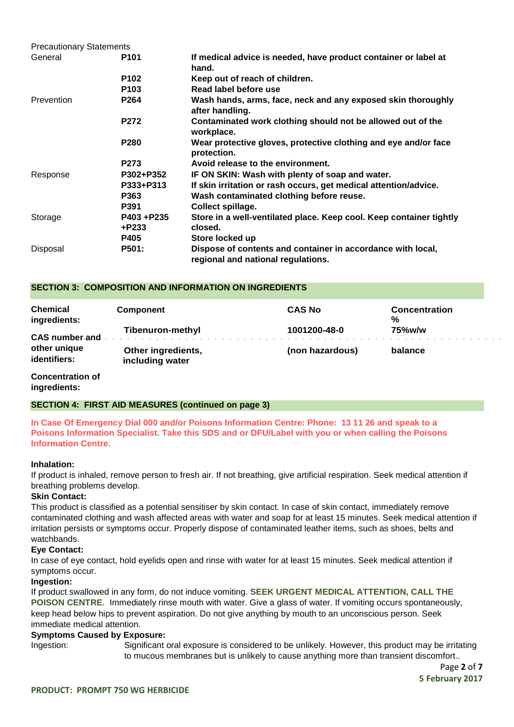| <b>Precautionary Statements</b> |                  |                                                                                                   |  |
|---------------------------------|------------------|---------------------------------------------------------------------------------------------------|--|
| General                         | P <sub>101</sub> | If medical advice is needed, have product container or label at<br>hand.                          |  |
|                                 | P <sub>102</sub> | Keep out of reach of children.                                                                    |  |
|                                 | P <sub>103</sub> | Read label before use                                                                             |  |
| Prevention                      | P264             | Wash hands, arms, face, neck and any exposed skin thoroughly<br>after handling.                   |  |
|                                 | <b>P272</b>      | Contaminated work clothing should not be allowed out of the<br>workplace.                         |  |
|                                 | <b>P280</b>      | Wear protective gloves, protective clothing and eye and/or face<br>protection.                    |  |
|                                 | P273             | Avoid release to the environment.                                                                 |  |
| Response                        | P302+P352        | IF ON SKIN: Wash with plenty of soap and water.                                                   |  |
|                                 | P333+P313        | If skin irritation or rash occurs, get medical attention/advice.                                  |  |
|                                 | P363             | Wash contaminated clothing before reuse.                                                          |  |
|                                 | P391             | Collect spillage.                                                                                 |  |
| Storage                         | P403+P235        | Store in a well-ventilated place. Keep cool. Keep container tightly                               |  |
|                                 | +P233            | closed.                                                                                           |  |
|                                 | <b>P405</b>      | Store locked up                                                                                   |  |
| Disposal                        | <b>P501:</b>     | Dispose of contents and container in accordance with local,<br>regional and national regulations. |  |

### **SECTION 3: COMPOSITION AND INFORMATION ON INGREDIENTS**

| <b>Chemical</b><br>ingredients: | Component                             | <b>CAS No</b>   | <b>Concentration</b><br>% |
|---------------------------------|---------------------------------------|-----------------|---------------------------|
| <b>CAS number and</b>           | Tibenuron-methyl                      | 1001200-48-0    | 75%w/w                    |
| other unique<br>identifiers:    | Other ingredients,<br>including water | (non hazardous) | balance                   |

### **Concentration of ingredients:**

**SECTION 4: FIRST AID MEASURES (continued on page 3)**

**In Case Of Emergency Dial 000 and/or Poisons Information Centre: Phone: 13 11 26 and speak to a Poisons Information Specialist. Take this SDS and or DFU/Label with you or when calling the Poisons Information Centre.**

### **Inhalation:**

If product is inhaled, remove person to fresh air. If not breathing, give artificial respiration. Seek medical attention if breathing problems develop.

### **Skin Contact:**

This product is classified as a potential sensitiser by skin contact. In case of skin contact, immediately remove contaminated clothing and wash affected areas with water and soap for at least 15 minutes. Seek medical attention if irritation persists or symptoms occur. Properly dispose of contaminated leather items, such as shoes, belts and watchbands.

### **Eye Contact:**

In case of eye contact, hold eyelids open and rinse with water for at least 15 minutes. Seek medical attention if symptoms occur.

### **Ingestion:**

If product swallowed in any form, do not induce vomiting. **SEEK URGENT MEDICAL ATTENTION, CALL THE POISON CENTRE**. Immediately rinse mouth with water. Give a glass of water. If vomiting occurs spontaneously, keep head below hips to prevent aspiration. Do not give anything by mouth to an unconscious person. Seek immediate medical attention.

### **Symptoms Caused by Exposure:**

Ingestion: Significant oral exposure is considered to be unlikely. However, this product may be irritating to mucous membranes but is unlikely to cause anything more than transient discomfort..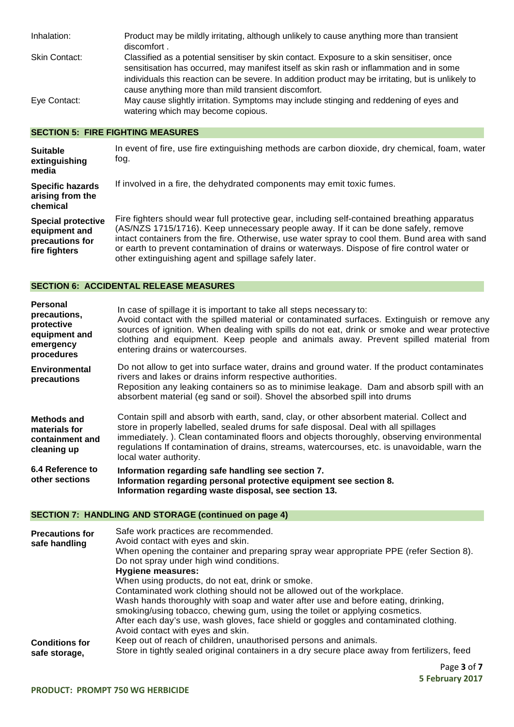| Inhalation:          | Product may be mildly irritating, although unlikely to cause anything more than transient<br>discomfort.                                                                                                                                                                                                                                           |
|----------------------|----------------------------------------------------------------------------------------------------------------------------------------------------------------------------------------------------------------------------------------------------------------------------------------------------------------------------------------------------|
| <b>Skin Contact:</b> | Classified as a potential sensitiser by skin contact. Exposure to a skin sensitiser, once<br>sensitisation has occurred, may manifest itself as skin rash or inflammation and in some<br>individuals this reaction can be severe. In addition product may be irritating, but is unlikely to<br>cause anything more than mild transient discomfort. |
| Eye Contact:         | May cause slightly irritation. Symptoms may include stinging and reddening of eyes and<br>watering which may become copious.                                                                                                                                                                                                                       |

### **SECTION 5: FIRE FIGHTING MEASURES**

| <b>Suitable</b><br>extinguishing<br>media                                      | In event of fire, use fire extinguishing methods are carbon dioxide, dry chemical, foam, water<br>fog.                                                                                                                                                                                                                                                                                                                                    |
|--------------------------------------------------------------------------------|-------------------------------------------------------------------------------------------------------------------------------------------------------------------------------------------------------------------------------------------------------------------------------------------------------------------------------------------------------------------------------------------------------------------------------------------|
| <b>Specific hazards</b><br>arising from the<br>chemical                        | If involved in a fire, the dehydrated components may emit toxic fumes.                                                                                                                                                                                                                                                                                                                                                                    |
| <b>Special protective</b><br>equipment and<br>precautions for<br>fire fighters | Fire fighters should wear full protective gear, including self-contained breathing apparatus<br>(AS/NZS 1715/1716). Keep unnecessary people away. If it can be done safely, remove<br>intact containers from the fire. Otherwise, use water spray to cool them. Bund area with sand<br>or earth to prevent contamination of drains or waterways. Dispose of fire control water or<br>other extinguishing agent and spillage safely later. |

## **SECTION 6: ACCIDENTAL RELEASE MEASURES**

| Personal<br>precautions,<br>protective<br>equipment and<br>emergency<br>procedures | In case of spillage it is important to take all steps necessary to:<br>Avoid contact with the spilled material or contaminated surfaces. Extinguish or remove any<br>sources of ignition. When dealing with spills do not eat, drink or smoke and wear protective<br>clothing and equipment. Keep people and animals away. Prevent spilled material from<br>entering drains or watercourses.           |
|------------------------------------------------------------------------------------|--------------------------------------------------------------------------------------------------------------------------------------------------------------------------------------------------------------------------------------------------------------------------------------------------------------------------------------------------------------------------------------------------------|
| <b>Environmental</b><br>precautions                                                | Do not allow to get into surface water, drains and ground water. If the product contaminates<br>rivers and lakes or drains inform respective authorities.<br>Reposition any leaking containers so as to minimise leakage. Dam and absorb spill with an<br>absorbent material (eg sand or soil). Shovel the absorbed spill into drums                                                                   |
| Methods and<br>materials for<br>containment and<br>cleaning up                     | Contain spill and absorb with earth, sand, clay, or other absorbent material. Collect and<br>store in properly labelled, sealed drums for safe disposal. Deal with all spillages<br>immediately.). Clean contaminated floors and objects thoroughly, observing environmental<br>regulations If contamination of drains, streams, watercourses, etc. is unavoidable, warn the<br>local water authority. |
| 6.4 Reference to<br>other sections                                                 | Information regarding safe handling see section 7.<br>Information regarding personal protective equipment see section 8.<br>Information regarding waste disposal, see section 13.                                                                                                                                                                                                                      |

## **SECTION 7: HANDLING AND STORAGE (continued on page 4)**

| <b>Precautions for</b><br>safe handling | Safe work practices are recommended.<br>Avoid contact with eyes and skin.<br>When opening the container and preparing spray wear appropriate PPE (refer Section 8).<br>Do not spray under high wind conditions.<br><b>Hygiene measures:</b><br>When using products, do not eat, drink or smoke.<br>Contaminated work clothing should not be allowed out of the workplace.<br>Wash hands thoroughly with soap and water after use and before eating, drinking,<br>smoking/using tobacco, chewing gum, using the toilet or applying cosmetics.<br>After each day's use, wash gloves, face shield or goggles and contaminated clothing. |
|-----------------------------------------|--------------------------------------------------------------------------------------------------------------------------------------------------------------------------------------------------------------------------------------------------------------------------------------------------------------------------------------------------------------------------------------------------------------------------------------------------------------------------------------------------------------------------------------------------------------------------------------------------------------------------------------|
| <b>Conditions for</b><br>safe storage,  | Avoid contact with eyes and skin.<br>Keep out of reach of children, unauthorised persons and animals.<br>Store in tightly sealed original containers in a dry secure place away from fertilizers, feed                                                                                                                                                                                                                                                                                                                                                                                                                               |

Page **3** of **7 5 February 2017**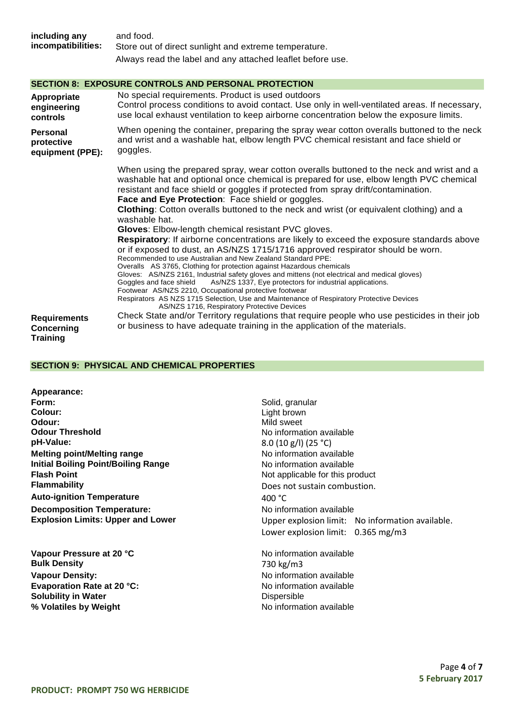| including any<br>incompatibilities:        | and food.<br>Store out of direct sunlight and extreme temperature.<br>Always read the label and any attached leaflet before use.                                                                                                                                                                                                                                                                                                                                                                                                                                                                                                                                                                                                                                                                                                                                                                                                                                                                                                                                                                                                                                                                                   |
|--------------------------------------------|--------------------------------------------------------------------------------------------------------------------------------------------------------------------------------------------------------------------------------------------------------------------------------------------------------------------------------------------------------------------------------------------------------------------------------------------------------------------------------------------------------------------------------------------------------------------------------------------------------------------------------------------------------------------------------------------------------------------------------------------------------------------------------------------------------------------------------------------------------------------------------------------------------------------------------------------------------------------------------------------------------------------------------------------------------------------------------------------------------------------------------------------------------------------------------------------------------------------|
|                                            | <b>SECTION 8: EXPOSURE CONTROLS AND PERSONAL PROTECTION</b>                                                                                                                                                                                                                                                                                                                                                                                                                                                                                                                                                                                                                                                                                                                                                                                                                                                                                                                                                                                                                                                                                                                                                        |
| Appropriate<br>engineering<br>controls     | No special requirements. Product is used outdoors<br>Control process conditions to avoid contact. Use only in well-ventilated areas. If necessary,<br>use local exhaust ventilation to keep airborne concentration below the exposure limits.                                                                                                                                                                                                                                                                                                                                                                                                                                                                                                                                                                                                                                                                                                                                                                                                                                                                                                                                                                      |
| Personal<br>protective<br>equipment (PPE): | When opening the container, preparing the spray wear cotton overalls buttoned to the neck<br>and wrist and a washable hat, elbow length PVC chemical resistant and face shield or<br>goggles.                                                                                                                                                                                                                                                                                                                                                                                                                                                                                                                                                                                                                                                                                                                                                                                                                                                                                                                                                                                                                      |
|                                            | When using the prepared spray, wear cotton overalls buttoned to the neck and wrist and a<br>washable hat and optional once chemical is prepared for use, elbow length PVC chemical<br>resistant and face shield or goggles if protected from spray drift/contamination.<br>Face and Eye Protection: Face shield or goggles.<br>Clothing: Cotton overalls buttoned to the neck and wrist (or equivalent clothing) and a<br>washable hat.<br>Gloves: Elbow-length chemical resistant PVC gloves.<br>Respiratory: If airborne concentrations are likely to exceed the exposure standards above<br>or if exposed to dust, an AS/NZS 1715/1716 approved respirator should be worn.<br>Recommended to use Australian and New Zealand Standard PPE:<br>Overalls AS 3765, Clothing for protection against Hazardous chemicals<br>Gloves: AS/NZS 2161, Industrial safety gloves and mittens (not electrical and medical gloves)<br>Goggles and face shield<br>As/NZS 1337, Eye protectors for industrial applications.<br>Footwear AS/NZS 2210, Occupational protective footwear<br>Respirators AS NZS 1715 Selection, Use and Maintenance of Respiratory Protective Devices<br>AS/NZS 1716, Respiratory Protective Devices |
| <b>Requirements</b>                        | Check State and/or Territory regulations that require people who use pesticides in their job<br>or business to have adequate training in the application of the materials.                                                                                                                                                                                                                                                                                                                                                                                                                                                                                                                                                                                                                                                                                                                                                                                                                                                                                                                                                                                                                                         |
| <b>Concerning</b><br><b>Training</b>       |                                                                                                                                                                                                                                                                                                                                                                                                                                                                                                                                                                                                                                                                                                                                                                                                                                                                                                                                                                                                                                                                                                                                                                                                                    |

### **SECTION 9: PHYSICAL AND CHEMICAL PROPERTIES**

| Appearance:                                |                  |
|--------------------------------------------|------------------|
| Form:                                      | Solid, c         |
| Colour:                                    | Light bi         |
| Odour:                                     | Mild sw          |
| <b>Odour Threshold</b>                     | No info          |
| pH-Value:                                  | 8.0(10           |
| <b>Melting point/Melting range</b>         | No info          |
| <b>Initial Boiling Point/Boiling Range</b> | No info          |
| <b>Flash Point</b>                         | Not ap           |
| Flammability                               | Does n           |
| <b>Auto-ignition Temperature</b>           | 400 $^{\circ}$ C |
| <b>Decomposition Temperature:</b>          | No info          |
| <b>Explosion Limits: Upper and Lower</b>   | Upper            |

**Vapour Pressure at 20 °C**<br> **Bulk Density Bulk Density** 20 °C **Bulk Density Vapour Density:**<br> **Evaporation Rate at 20 °C:**<br>
No information available<br>
No information available **Evaporation Rate at 20 °C: Solubility in Water**<br> **Solubility in Water**<br> **Solubility in Weight**<br> **Solubility in Weight**<br> **Solubility in Weight**<br> **Solubility in Weight**<br> **Solubility in Weight**<br> **Solution**<br> **Solution**<br> **Solution**<br> **Solution**<br> **Solutio % Volatiles by Weight** 

Solid, granular Light brown **Odour:** Mild sweet **No information available pH-Value:** 8.0 (10 g/l) (25 °C) **No information available No information available** Not applicable for this product Does not sustain combustion. **No information available Explosion Limits: Upper and Lower** Upper explosion limit: No information available. Lower explosion limit: 0.365 mg/m3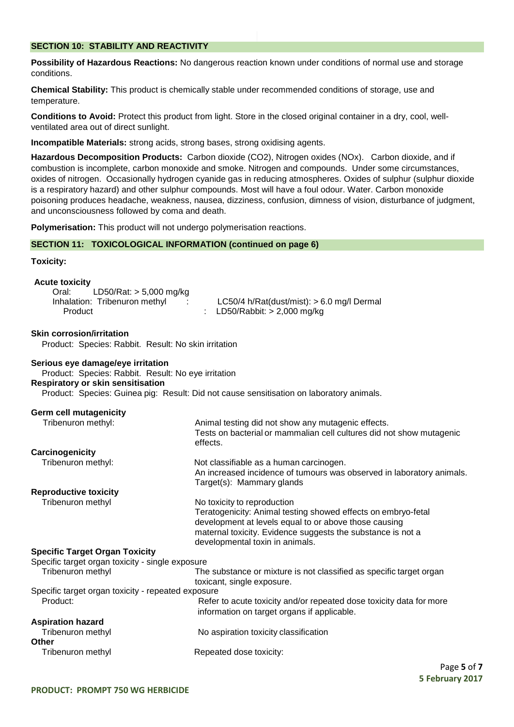### **SECTION 10: STABILITY AND REACTIVITY**

**Possibility of Hazardous Reactions:** No dangerous reaction known under conditions of normal use and storage conditions.

**Chemical Stability:** This product is chemically stable under recommended conditions of storage, use and temperature.

**Conditions to Avoid:** Protect this product from light. Store in the closed original container in a dry, cool, wellventilated area out of direct sunlight.

**Incompatible Materials:** strong acids, strong bases, strong oxidising agents.

**Hazardous Decomposition Products:** Carbon dioxide (CO2), Nitrogen oxides (NOx). Carbon dioxide, and if combustion is incomplete, carbon monoxide and smoke. Nitrogen and compounds. Under some circumstances, oxides of nitrogen. Occasionally hydrogen cyanide gas in reducing atmospheres. Oxides of sulphur (sulphur dioxide is a respiratory hazard) and other sulphur compounds. Most will have a foul odour. Water. Carbon monoxide poisoning produces headache, weakness, nausea, dizziness, confusion, dimness of vision, disturbance of judgment, and unconsciousness followed by coma and death.

**Polymerisation:** This product will not undergo polymerisation reactions.

### **SECTION 11: TOXICOLOGICAL INFORMATION (continued on page 6)**

### **Toxicity:**

# **Acute toxicity**

**Skin corrosion/irritation**

| Oral:<br>LD50/Rat: $> 5,000$ mg/kg |                                                |
|------------------------------------|------------------------------------------------|
| Inhalation: Tribenuron methyl      | $LC50/4$ h/Rat(dust/mist): $> 6.0$ mg/l Dermal |
| Product                            | : LD50/Rabbit: $> 2,000$ mg/kg                 |

> 2,000 mg/kg

# Product: Species: Rabbit. Result: No skin irritation

**Serious eye damage/eye irritation** Product: Species: Rabbit. Result: No eye irritation **Respiratory or skin sensitisation** Product: Species: Guinea pig: Result: Did not cause sensitisation on laboratory animals.

| <b>Germ cell mutagenicity</b>                      |                                                                                                                                                                                                                                                         |
|----------------------------------------------------|---------------------------------------------------------------------------------------------------------------------------------------------------------------------------------------------------------------------------------------------------------|
| Tribenuron methyl:                                 | Animal testing did not show any mutagenic effects.<br>Tests on bacterial or mammalian cell cultures did not show mutagenic<br>effects.                                                                                                                  |
| Carcinogenicity                                    |                                                                                                                                                                                                                                                         |
| Tribenuron methyl:                                 | Not classifiable as a human carcinogen.<br>An increased incidence of tumours was observed in laboratory animals.<br>Target(s): Mammary glands                                                                                                           |
| <b>Reproductive toxicity</b>                       |                                                                                                                                                                                                                                                         |
| Tribenuron methyl                                  | No toxicity to reproduction<br>Teratogenicity: Animal testing showed effects on embryo-fetal<br>development at levels equal to or above those causing<br>maternal toxicity. Evidence suggests the substance is not a<br>developmental toxin in animals. |
| <b>Specific Target Organ Toxicity</b>              |                                                                                                                                                                                                                                                         |
| Specific target organ toxicity - single exposure   |                                                                                                                                                                                                                                                         |
| Tribenuron methyl                                  | The substance or mixture is not classified as specific target organ<br>toxicant, single exposure.                                                                                                                                                       |
| Specific target organ toxicity - repeated exposure |                                                                                                                                                                                                                                                         |
| Product:                                           | Refer to acute toxicity and/or repeated dose toxicity data for more<br>information on target organs if applicable.                                                                                                                                      |
| <b>Aspiration hazard</b>                           |                                                                                                                                                                                                                                                         |
| Tribenuron methyl<br><b>Other</b>                  | No aspiration toxicity classification                                                                                                                                                                                                                   |
| Tribenuron methyl                                  | Repeated dose toxicity:                                                                                                                                                                                                                                 |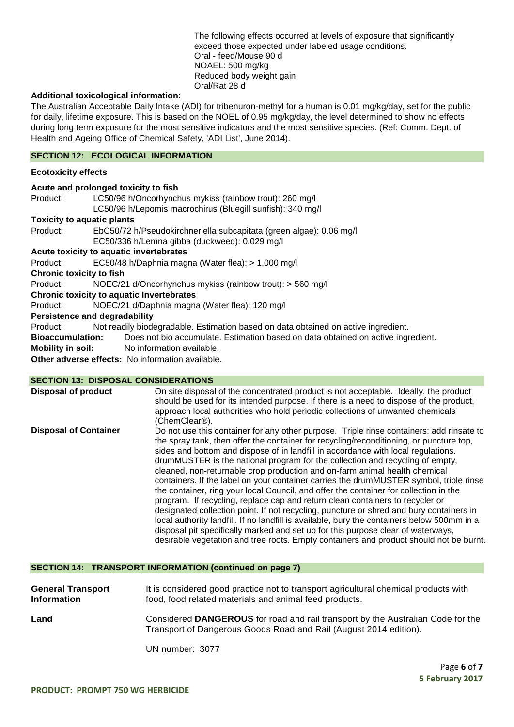The following effects occurred at levels of exposure that significantly exceed those expected under labeled usage conditions. Oral - feed/Mouse 90 d NOAEL: 500 mg/kg Reduced body weight gain Oral/Rat 28 d

### **Additional toxicological information:**

The Australian Acceptable Daily Intake (ADI) for tribenuron-methyl for a human is 0.01 mg/kg/day, set for the public for daily, lifetime exposure. This is based on the NOEL of 0.95 mg/kg/day, the level determined to show no effects during long term exposure for the most sensitive indicators and the most sensitive species. (Ref: Comm. Dept. of Health and Ageing Office of Chemical Safety, 'ADI List', June 2014).

## **SECTION 12: ECOLOGICAL INFORMATION**

### **Ecotoxicity effects**

|                                   | Acute and prolonged toxicity to fish                                               |  |  |
|-----------------------------------|------------------------------------------------------------------------------------|--|--|
| Product:                          | LC50/96 h/Oncorhynchus mykiss (rainbow trout): 260 mg/l                            |  |  |
|                                   | LC50/96 h/Lepomis macrochirus (Bluegill sunfish): 340 mg/l                         |  |  |
| <b>Toxicity to aquatic plants</b> |                                                                                    |  |  |
| Product:                          | EbC50/72 h/Pseudokirchneriella subcapitata (green algae): 0.06 mg/l                |  |  |
|                                   | EC50/336 h/Lemna gibba (duckweed): 0.029 mg/l                                      |  |  |
|                                   | Acute toxicity to aquatic invertebrates                                            |  |  |
| Product:                          | EC50/48 h/Daphnia magna (Water flea): > 1,000 mg/l                                 |  |  |
| <b>Chronic toxicity to fish</b>   |                                                                                    |  |  |
| Product:                          | NOEC/21 d/Oncorhynchus mykiss (rainbow trout): > 560 mg/l                          |  |  |
|                                   | <b>Chronic toxicity to aquatic Invertebrates</b>                                   |  |  |
| Product:                          | NOEC/21 d/Daphnia magna (Water flea): 120 mg/l                                     |  |  |
|                                   | <b>Persistence and degradability</b>                                               |  |  |
| Product:                          | Not readily biodegradable. Estimation based on data obtained on active ingredient. |  |  |
| <b>Bioaccumulation:</b>           | Does not bio accumulate. Estimation based on data obtained on active ingredient.   |  |  |
| <b>Mobility in soil:</b>          | No information available.                                                          |  |  |
|                                   | <b>Other adverse effects:</b> No information available.                            |  |  |

### **SECTION 13: DISPOSAL CONSIDERATIONS**

| <b>Disposal of product</b>   | On site disposal of the concentrated product is not acceptable. Ideally, the product<br>should be used for its intended purpose. If there is a need to dispose of the product,<br>approach local authorities who hold periodic collections of unwanted chemicals<br>(ChemClear®).                                                                                                                                                                                                                                                                                                                                                                                                                                                                                                                                                                                                                                                                                                                                                                                                   |
|------------------------------|-------------------------------------------------------------------------------------------------------------------------------------------------------------------------------------------------------------------------------------------------------------------------------------------------------------------------------------------------------------------------------------------------------------------------------------------------------------------------------------------------------------------------------------------------------------------------------------------------------------------------------------------------------------------------------------------------------------------------------------------------------------------------------------------------------------------------------------------------------------------------------------------------------------------------------------------------------------------------------------------------------------------------------------------------------------------------------------|
| <b>Disposal of Container</b> | Do not use this container for any other purpose. Triple rinse containers; add rinsate to<br>the spray tank, then offer the container for recycling/reconditioning, or puncture top,<br>sides and bottom and dispose of in landfill in accordance with local regulations.<br>drumMUSTER is the national program for the collection and recycling of empty,<br>cleaned, non-returnable crop production and on-farm animal health chemical<br>containers. If the label on your container carries the drumMUSTER symbol, triple rinse<br>the container, ring your local Council, and offer the container for collection in the<br>program. If recycling, replace cap and return clean containers to recycler or<br>designated collection point. If not recycling, puncture or shred and bury containers in<br>local authority landfill. If no landfill is available, bury the containers below 500mm in a<br>disposal pit specifically marked and set up for this purpose clear of waterways,<br>desirable vegetation and tree roots. Empty containers and product should not be burnt. |

### **SECTION 14: TRANSPORT INFORMATION (continued on page 7)**

| <b>General Transport</b> | It is considered good practice not to transport agricultural chemical products with                                                                  |
|--------------------------|------------------------------------------------------------------------------------------------------------------------------------------------------|
| <b>Information</b>       | food, food related materials and animal feed products.                                                                                               |
| Land                     | Considered DANGEROUS for road and rail transport by the Australian Code for the<br>Transport of Dangerous Goods Road and Rail (August 2014 edition). |

UN number: 3077